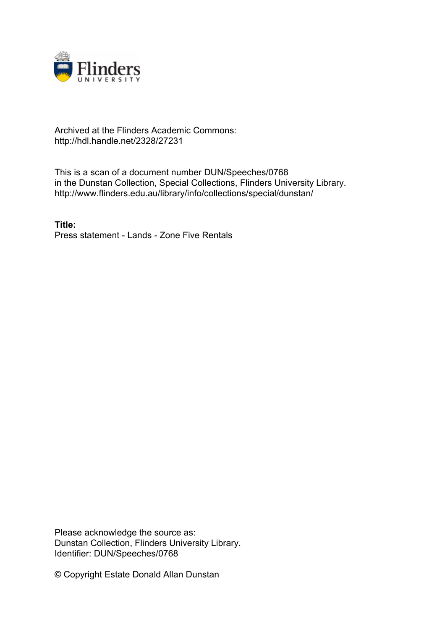

## Archived at the Flinders Academic Commons: http://hdl.handle.net/2328/27231

This is a scan of a document number DUN/Speeches/0768 in the Dunstan Collection, Special Collections, Flinders University Library. http://www.flinders.edu.au/library/info/collections/special/dunstan/

**Title:** Press statement - Lands - Zone Five Rentals

Please acknowledge the source as: Dunstan Collection, Flinders University Library. Identifier: DUN/Speeches/0768

© Copyright Estate Donald Allan Dunstan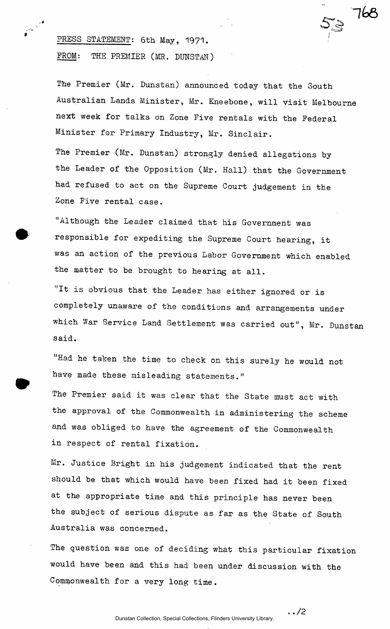PRESS STATEMENT: 6th May, 1971. FROM: THE PREMIER (MR. DUNSTAN)

The Premier (Mr. Dunstan) announced today that the South Australian Lands Minister, Mr. Kneebone, will visit Melbourne next week for talks on Zone Five rentals with the Federal Minister for Primary Industry, Mr. Sinclair.

 $\mathcal{D}_{\mathbb{C}}$ 

768

The Premier (Mr. Dunstan) strongly denied allegations by the Leader of the Opposition (Mr. Hall) that the Government had refused to act on the Supreme Court judgement in the Zone Five rental case.

"Although the Leader claimed that his Government was responsible for expediting the Supreme Court hearing, it was an action of the previous Labor Government which enabled the matter to be brought to hearing at all.

"It is obvious that the Leader has either ignored or is completely unaware of the conditions and arrangements under which War Service Land Settlement was carried out", Mr. Dunstan said.

"Had he taken the time to check on this surely he would not have made these misleading statements."

The Premier said it was clear that the State must act with the approval of the Commonwealth in administering the scheme and was obliged to have the agreement of the Commonwealth in respect of rental fixation.

Mr. Justice Bright in his judgement indicated that the rent should be that which would have been fixed had it been fixed at the appropriate time and this principle has never been the subject of serious dispute as far as the State of South Australia was concerned.

The question was one of deciding what this particular fixation would have been and this had been under discussion with the Commonwealth for a very long time.

Dunstan Collection, Special Collections, Flinders University Library.

**• /2**